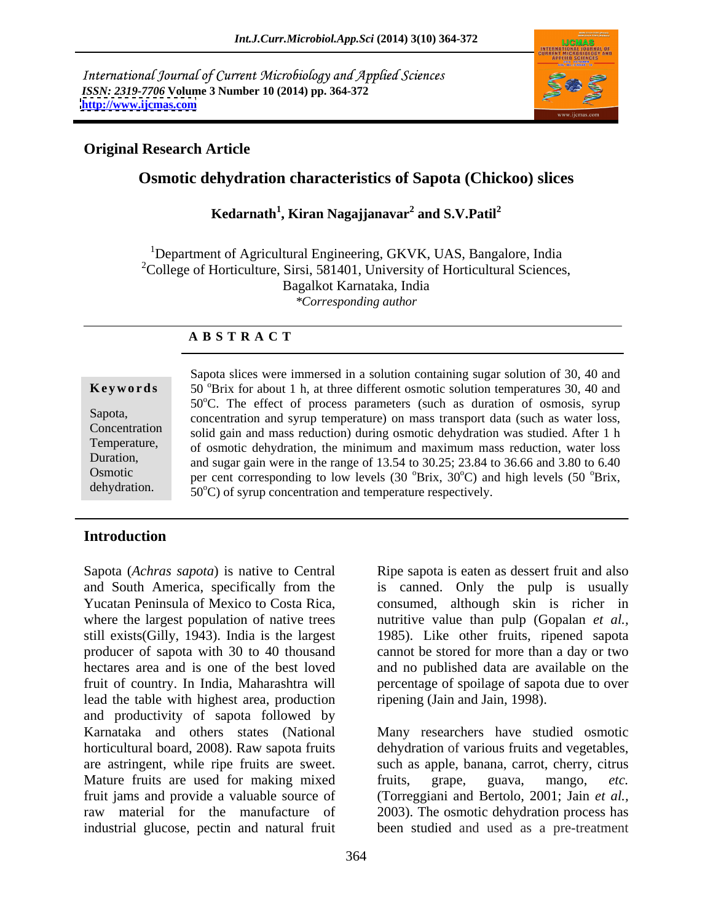International Journal of Current Microbiology and Applied Sciences *ISSN: 2319-7706* **Volume 3 Number 10 (2014) pp. 364-372 <http://www.ijcmas.com>**



# **Original Research Article**

# **Osmotic dehydration characteristics of Sapota (Chickoo) slices**

### **Kedarnath<sup>1</sup> , Kiran Nagajjanavar<sup>2</sup> and S.V.Patil<sup>2</sup>**

<sup>1</sup>Department of Agricultural Engineering, GKVK, UAS, Bangalore, India  $2^2$ College of Horticulture, Sirsi, 581401, University of Horticultural Sciences, Bagalkot Karnataka, India *\*Corresponding author* 

# **A B S T R A C T**

perature respectively. **Keywords** 50<sup>°</sup>Brix for about 1 h, at three different osmotic solution temperatures 30, 40 and Sapota, concentration and syrup temperature) on mass transport data (such as water loss, Concentration solid gain and mass reduction) during osmotic dehydration was studied. After 1 h Temperature, of osmotic dehydration, the minimum and maximum mass reduction, water loss Duration, and sugar gain were in the range of 13.54 to 30.25; 23.84 to 36.66 and 3.80 to 6.40 Osmotic per cent corresponding to low levels  $(30^\circ\text{Brix}, 30^\circ\text{C})$  and high levels  $(50^\circ\text{Brix},$ dehydration.  $50^{\circ}$ C) of syrup concentration and temperature respectively. Sapota slices were immersed in a solution containing sugar solution of 30, 40 and 50°C. The effect of process parameters (such as duration of osmosis, syrup <sup>o</sup>Brix,

# **Introduction**

Sapota (*Achras sapota*) is native to Central Ripe sapota is eaten as dessert fruit and also lead the table with highest area, production ripening (Jain and Jain, 1998). and productivity of sapota followed by Karnataka and others states (National Many researchers have studied osmotic horticultural board, 2008). Raw sapota fruits dehydration of various fruits and vegetables, are astringent, while ripe fruits are sweet. Mature fruits are used for making mixed fruits, grape, guava, mango, etc.<br>
fruit iams and provide a valuable source of (Torreggiani and Bertolo, 2001; Jain et al., fruit jams and provide a valuable source of (Torreggiani and Bertolo, 2001; Jain *et al.,* raw material for the manufacture of 2003). The osmotic dehydration process has industrial glucose, pectin and natural fruit

364

and South America, specifically from the is canned. Only the pulp is usually Yucatan Peninsula of Mexico to Costa Rica, consumed, although skin is richer in where the largest population of native trees nutritive value than pulp (Gopalan *et al.,* still exists(Gilly, 1943). India is the largest 1985). Like other fruits, ripened sapota producer of sapota with 30 to 40 thousand cannot be stored for more than a day or two hectares area and is one of the best loved and no published data are available on the fruit of country. In India, Maharashtra will percentage of spoilage of sapota due to over

ripening (Jain and Jain, 1998). Many researchers have studied osmotic such as apple, banana, carrot, cherry, citrus fruits, grape, guava, mango, *etc.* been studied and used as a pre-treatment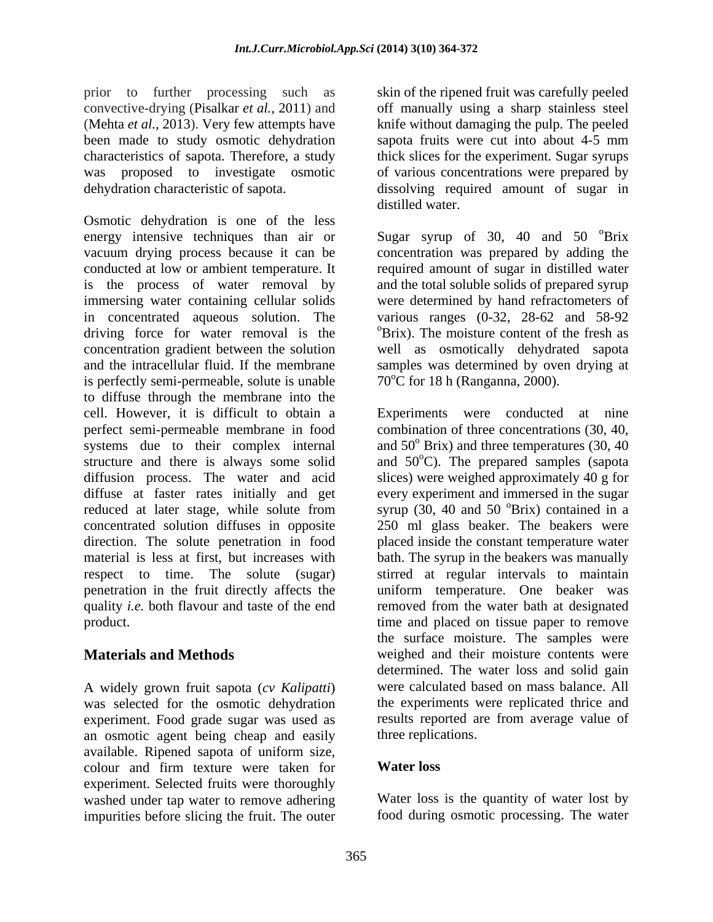prior to further processing such as convective-drying (Pisalkar *et al.,* 2011) and off manually using a sharp stainless steel (Mehta *et al.,* 2013). Very few attempts have knife without damaging the pulp. The peeled been made to study osmotic dehydration sapota fruits were cut into about 4-5 mm characteristics of sapota. Therefore, a study thick slices for the experiment. Sugar syrups was proposed to investigate osmotic of various concentrations were prepared by dehydration characteristic of sapota. dissolving required amount of sugar in

Osmotic dehydration is one of the less energy intensive techniques than air or Sugar syrup of 30, 40 and 50 °Brix vacuum drying process because it can be concentration was prepared by adding the conducted at low or ambient temperature. It required amount of sugar in distilled water is the process of water removal by and the total soluble solids of prepared syrup immersing water containing cellular solids in concentrated aqueous solution. The various ranges (0-32, 28-62 and 58-92 driving force for water removal is the <sup>o</sup>Brix). The moisture content of the fresh as concentration gradient between the solution well as osmotically dehydrated sapota and the intracellular fluid. If the membrane samples was determined by oven drying at is perfectly semi-permeable, solute is unable to diffuse through the membrane into the cell. However, it is difficult to obtain a Experiments were conducted at nine perfect semi-permeable membrane in food combination of three concentrations (30, 40, systems due to their complex internal structure and there is always some solid and  $50^{\circ}$ C). The prepared samples (sapota diffusion process. The water and acid slices) were weighed approximately 40 g for diffuse at faster rates initially and get every experiment and immersed in the sugar reduced at later stage, while solute from syrup (30, 40 and 50 °Brix) contained in a concentrated solution diffuses in opposite 250 ml glass beaker. The beakers were direction. The solute penetration in food material is less at first, but increases with bath. The syrup in the beakers was manually respect to time. The solute (sugar) stirred at regular intervals to maintain penetration in the fruit directly affects the uniform temperature. One beaker was quality *i.e.* both flavour and taste of the end removed from the water bath at designated

A widely grown fruit sapota (*cv Kalipatti*) was selected for the osmotic dehydration experiment. Food grade sugar was used as an osmotic agent being cheap and easily available. Ripened sapota of uniform size, colour and firm texture were taken for **Water loss** experiment. Selected fruits were thoroughly washed under tap water to remove adhering impurities before slicing the fruit. The outer

skin of the ripened fruit was carefully peeled distilled water.

<sup>o</sup>Brix were determined by hand refractometers of various ranges  $(0-32, 28-62, 200)$  and  $58-92$  oBrix). The moisture content of the fresh as  $70^{\circ}$ C for 18 h (Ranganna, 2000).

product. time and placed on tissue paper to remove **Materials and Methods** weighed and their moisture contents were and 50<sup>°</sup> Brix) and three temperatures (30, 40  $\mathrm{O}_\mathrm{Brix}$ ) contained in a placed inside the constant temperature water the surface moisture. The samples were determined. The water loss and solid gain were calculated based on mass balance. All the experiments were replicated thrice and results reported are from average value of three replications.

## **Water loss**

Water loss is the quantity of water lost by food during osmotic processing. The water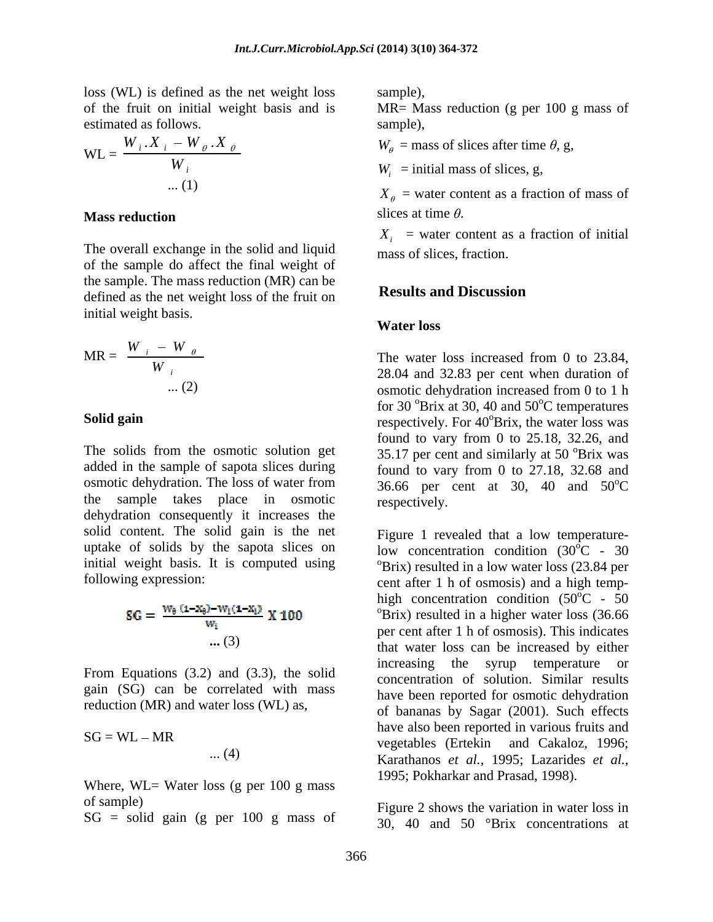loss (WL) is defined as the net weight loss of the fruit on initial weight basis and is estimated as follows. Sample), sample.

$$
WL = \frac{W_i \cdot X_i - W_\theta \cdot X_\theta}{W_i}
$$
  
W<sub>i</sub> = initial mass of slices, g,  
W<sub>i</sub> = initial mass of slices, g,

The overall exchange in the solid and liquid of the sample do affect the final weight of the sample. The mass reduction (MR) can be<br>defined as the net weight lass of the finite on **Results and Discussion** defined as the net weight loss of the fruit on initial weight basis.<br> **Water loss** 

MR = 
$$
\frac{W_i - W_{\theta}}{W_i}
$$
  
\nThe water loss increased from 0 to 23.84,  
\n28.04 and 32.83 per cent when duration of  
\nosmotic dehydrotation increased from 0 to 1 h

The solids from the osmotic solution get added in the sample of sapota slices during osmotic dehydration. The loss of water from  $36.66$  per cent at 30, 40 and  $50^{\circ}$ C the sample takes place in osmotic dehydration consequently it increases the solid content. The solid gain is the net uptake of solids by the sapota slices on initial weight basis. It is computed using

SG = 
$$
\frac{W_{\theta} (1 - X_{\theta}) - W_{i} (1 - X_{i})}{W_{i}} X 100
$$

$$
\dots (3)
$$

gain (SG) can be correlated with mass reduction (MR) and water loss (WL) as,

$$
SG = WL - MR
$$

Where, WL= Water loss (g per 100 g mass) of sample) Figure 2 shows the variation in water loss in

 $SG = solid gain (g per 100 g mass of$ 

sample),

MR= Mass reduction (g per 100 g mass of sample),

 $W_{\theta}$  = mass of slices after time  $\theta$ , g,  $W_i$ ,  $X_i - W_{i\theta}$ ,  $X_{i\theta}$   $W_a$  = mass of slices after time  $\theta$ , g,

 $W_i$  = initial mass of slices, g,  $W_i$  = initial mass of slices,  $\sigma$ 

 $X_{\rho}$  = water content as a fraction of mass of **Mass reduction** Slices at time  $\theta$ . slices at time  $\theta$ .

> $X_i$  = water content as a fraction of initial mass of slices, fraction.

### **Results and Discussion**

### **Water loss**

 $MR = \frac{W_i - W_i \theta}{W_i}$  The water loss increased from 0 to 23.84, *i* 28.04 and 32.83 per cent when duration of  $W_i$  28.04 and 32.83 per cent when duration of ... (2) osmotic dehydration increased from 0 to 1 h **Solid gain** respectively. For 40<sup>°</sup>Brix, the water loss was for 30  $\mathrm{Brix}$  at 30, 40 and 50 $\mathrm{^{\circ}C}$  temperatures <sup>o</sup>C temperatures found to vary from 0 to 25.18, 32.26, and 35.17 per cent and similarly at 50 <sup>o</sup>Brix was <sup>o</sup>Brix was found to vary from 0 to 27.18, 32.68 and 36.66 per cent at 30, 40 and  $50^{\circ}$ C  $\rm ^{o}C$ respectively.

following expression: cent after 1 h of osmosis) and a high temp- **...** (3) that water loss can be increased by either From Equations (3.2) and (3.3), the solid increasing the syrup temperature or  $SG = WL - MR$  wegetables (Fright and Cakaloz 1996; ... (4) Karathanos *et al.,* 1995; Lazarides *et al.,* Figure 1 revealed that a low temperaturelow concentration condition  $(30^{\circ}$ C - 30  $^{0}C - 30$  $\mathrm{PBrix}$ ) resulted in a low water loss (23.84 per high concentration condition  $(50^{\circ}$ C - 50  $^{6}C - 50$  $\mathrm{O}_\text{Brix}$ ) resulted in a higher water loss (36.66 per cent after 1 h of osmosis). This indicates the syrup temperature concentration of solution. Similar results have been reported for osmotic dehydration of bananas by Sagar (2001). Such effects have also been reported in various fruits and vegetables (Ertekin and Cakaloz, 1996; 1995; Pokharkar and Prasad, 1998).

30, 40 and 50 °Brix concentrations at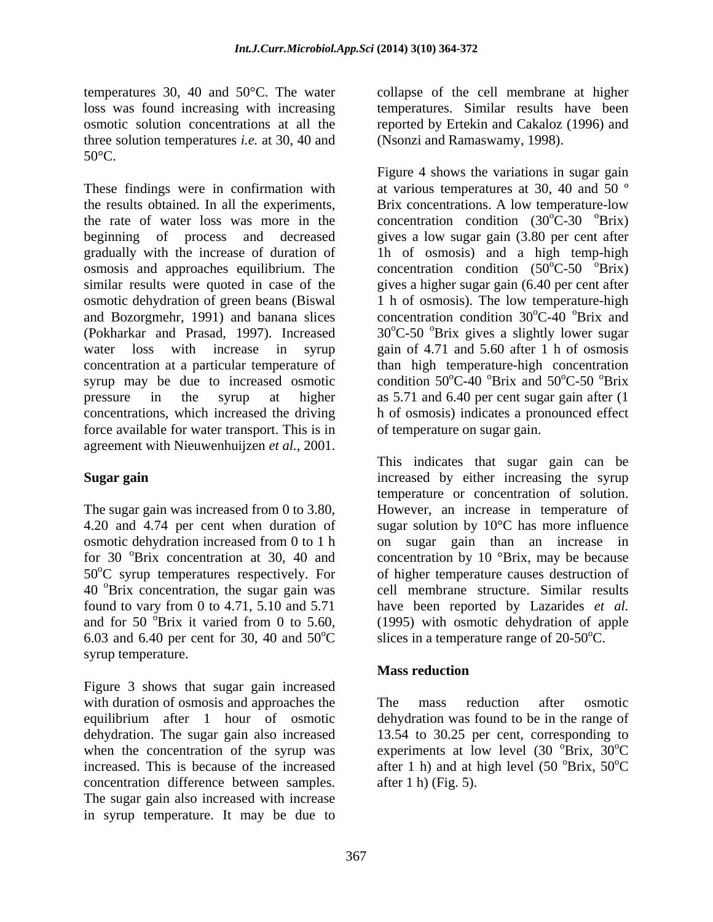temperatures 30, 40 and 50°C. The water collapse of the cell membrane at higher loss was found increasing with increasing temperatures. Similar results have been osmotic solution concentrations at all the reported by Ertekin and Cakaloz (1996) and three solution temperatures *i.e.* at 30, 40 and  $50^{\circ}$ C.

These findings were in confirmation with at various temperatures at 30, 40 and 50 ° the results obtained. In all the experiments, the rate of water loss was more in the concentration condition  $(30^{\circ}C - 30^{\circ}B)$  Brix) beginning of process and decreased gives a low sugar gain (3.80 per cent after gradually with the increase of duration of lh of osmosis) and a high temp-high osmosis and approaches equilibrium. The similar results were quoted in case of the gives a higher sugar gain (6.40 per cent after osmotic dehydration of green beans (Biswal and Bozorgmehr, 1991) and banana slices (Pokharkar and Prasad, 1997). Increased 30°C-50 °Brix gives a slightly lower sugar water loss with increase in syrup gain of 4.71 and 5.60 after 1 h of osmosis concentration at a particular temperature of than high temperature-high concentration syrup may be due to increased osmotic condition  $50^{\circ}$ C-40  $^{\circ}$ Brix and  $50^{\circ}$ C-50  $^{\circ}$ Brix pressure in the syrup at higher as 5.71 and 6.40 per cent sugar gain after (1 concentrations, which increased the driving force available for water transport. This is in agreement with Nieuwenhuijzen *et al.,* 2001.

 $50^{\circ}$ C syrup temperatures respectively. For 6.03 and 6.40 per cent for 30, 40 and  $50^{\circ}$ C syrup temperature.

Figure 3 shows that sugar gain increased with duration of osmosis and approaches the The mass reduction after osmotic equilibrium after 1 hour of osmotic dehydration was found to be in the range of dehydration. The sugar gain also increased 13.54 to 30.25 per cent, corresponding to when the concentration of the syrup was experiments at low level  $(30<sup>o</sup>Brix, 30<sup>o</sup>C)$ increased. This is because of the increased after 1 h) and at high level  $(50 \text{ °Brix}, 50 \text{ °C})$ concentration difference between samples. The sugar gain also increased with increase in syrup temperature. It may be due to

(Nsonzi and Ramaswamy, 1998).

Figure 4 shows the variations in sugar gain Brix concentrations. A low temperature-low concentration condition  $(50^{\circ}C - 50^{\circ}B)$  Tix)  $\mathrm{^{\circ}C\text{-}50}$   $\mathrm{^{\circ}Brix}$ ) 1 h of osmosis). The low temperature-high concentration condition 30°C-40 °Brix and  $\mathrm{^{\circ}C\text{-}40}$   $\mathrm{^{\circ}Brix}$  and  $\mathrm{^{\circ}C\text{-}50}$   $\mathrm{^{\circ}Brix}$ h of osmosis) indicates a pronounced effect of temperature on sugar gain.

**Sugar gain increased** by either increasing the syrup The sugar gain was increased from 0 to 3.80, However, an increase in temperature of 4.20 and 4.74 per cent when duration of sugar solution by 10°C has more influence osmotic dehydration increased from 0 to 1 h on sugar gain than an increase in for 30  $\textdegree$ Brix concentration at 30, 40 and concentration by 10  $\textdegree$ Brix, may be because 40 <sup>o</sup>Brix concentration, the sugar gain was cell membrane structure. Similar results found to vary from 0 to 4.71, 5.10 and 5.71 have been reported by Lazarides *et al.* and for 50  $\mathrm{^{\circ}Brix}$  it varied from 0 to 5.60, (1995) with osmotic dehydration of apple  $^{\circ}$ C slices in a temperature range of 20-50 $^{\circ}$ C. This indicates that sugar gain can be temperature or concentration of solution. of higher temperature causes destruction of

# **Mass reduction**

The mass reduction after osmotic  ${}^{\circ}\text{Brix}, 30 {}^{\circ}\text{C}$  $\rm ^{o}C$  ${}^{\circ}B$ rix, 50 ${}^{\circ}C$ <sup>o</sup>C after 1 h) (Fig. 5).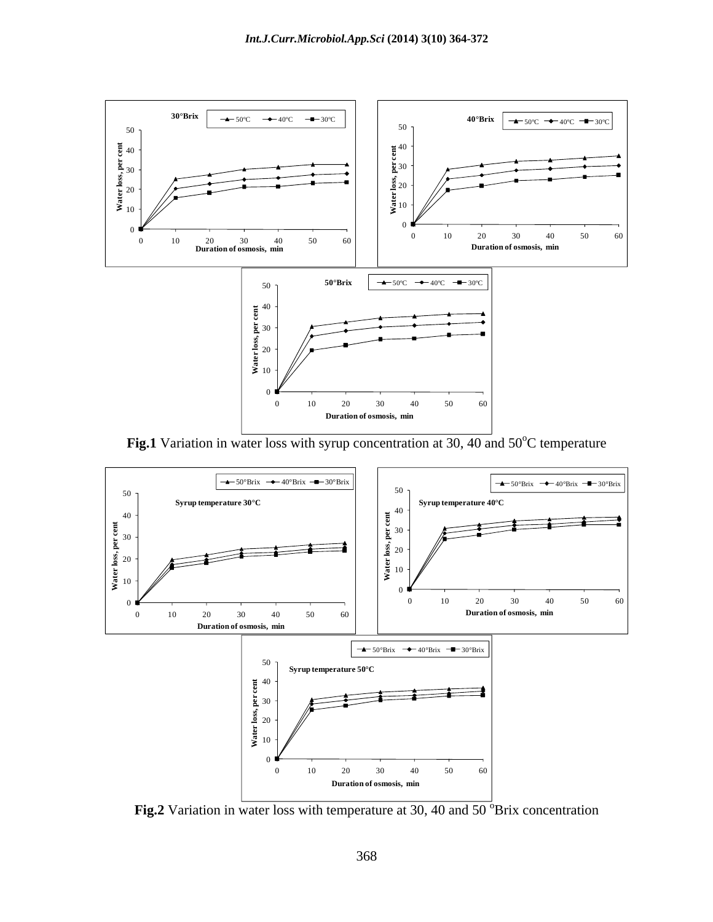

Fig.1 Variation in water loss with syrup concentration at 30, 40 and 50°C temperature



**Fig.2** Variation in water loss with temperature at 30, 40 and  $50^{\circ}$ Brix concentration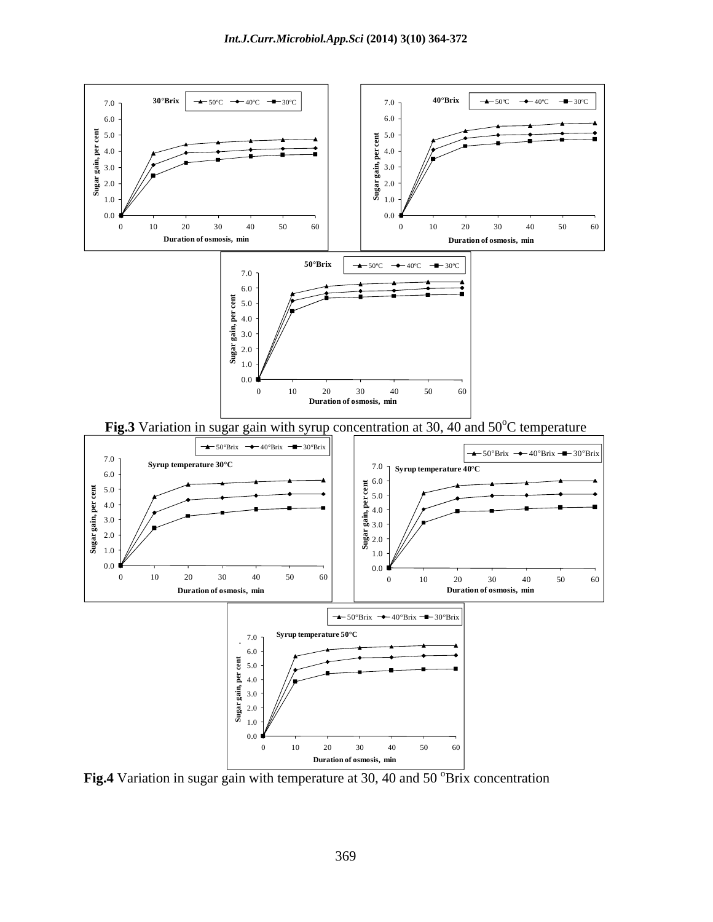

**Fig.4** Variation in sugar gain with temperature at  $30$ ,  $40$  and  $50$   $\textdegree$ Brix concentration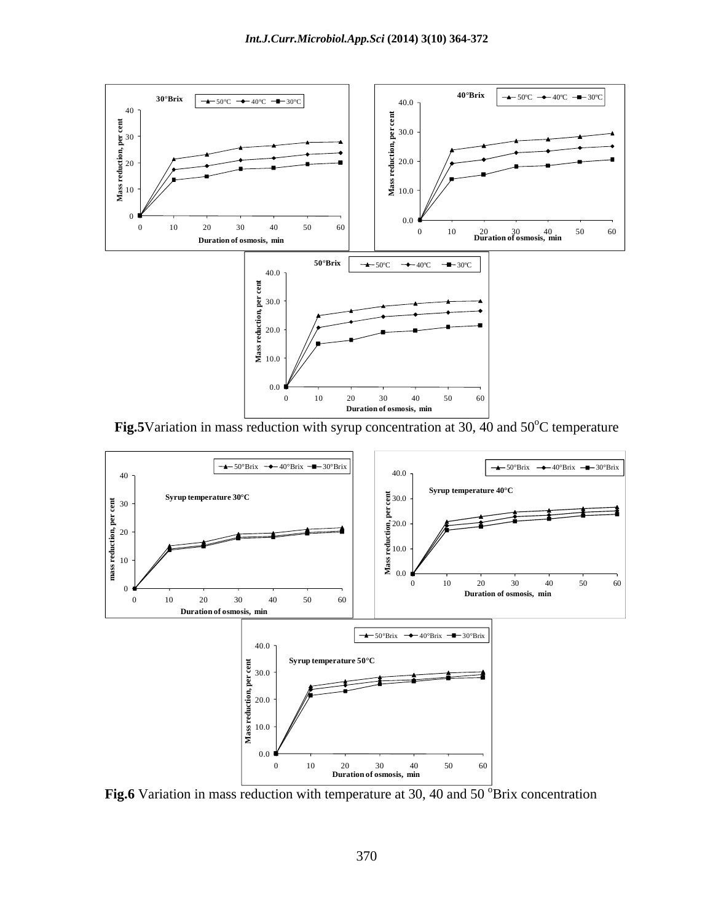

**Fig.5**Variation in mass reduction with syrup concentration at 30, 40 and  $50^{\circ}$ C temperature



**Fig.6** Variation in mass reduction with temperature at  $30$ , 40 and  $50^{\circ}$ Brix concentration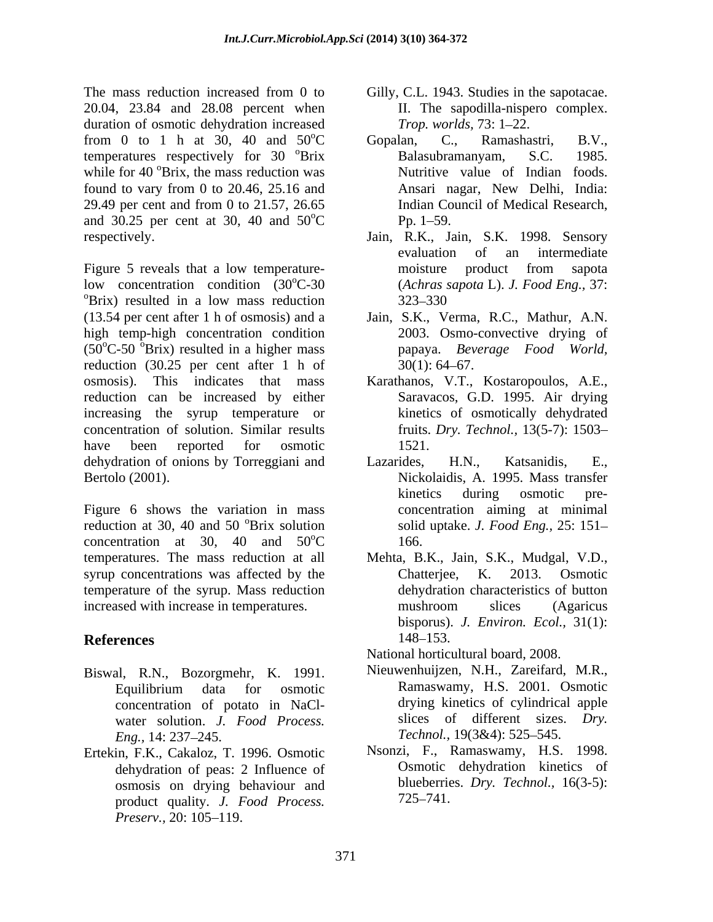The mass reduction increased from 0 to Gilly, C.L. 1943. Studies in the sapotacae. 20.04, 23.84 and 28.08 percent when duration of osmotic dehydration increased Trop. worlds, 73: 1–22. from 0 to 1 h at 30, 40 and  $50^{\circ}$ C Gopalan, C., Ramashastri, B.V., temperatures respectively for 30 °Brix Balasubramanyam, S.C. 1985. while for 40 °Brix, the mass reduction was found to vary from 0 to 20.46, 25.16 and 29.49 per cent and from 0 to 21.57, 26.65 and 30.25 per cent at 30, 40 and  $50^{\circ}$ C Pp. 1–59. respectively. Jain, R.K., Jain, S.K. 1998. Sensory

Figure 5 reveals that a low temperature-<br>moisture product from sapota low concentration condition  $(30^{\circ}C - 30)$ low concentration condition  $(30^{\circ}C-30$  (*Achras sapota L). J. Food Eng.*, 37:<br>
<sup>o</sup>Brix) resulted in a low mass reduction  $323-330$ (13.54 per cent after 1 h of osmosis) and a Jain, S.K., Verma, R.C., Mathur, A.N. high temp-high concentration condition  $(50^{\circ}C-50^{\circ}Brix)$  resulted in a higher mass reduction  $(30.25 \text{ per cent after 1 h of } 30(1): 64-67)$ . osmosis). This indicates that mass Karathanos, V.T., Kostaropoulos, A.E., reduction can be increased by either increasing the syrup temperature or concentration of solution. Similar results have been reported for osmotic 1521. dehydration of onions by Torreggiani and Lazarides, H.N., Katsanidis, E., Bertolo (2001). Nickolaidis, A. 1995. Mass transfer

Figure 6 shows the variation in mass reduction at 30, 40 and 50 <sup>o</sup>Brix solution concentration at 30, 40 and  $50^{\circ}$ C 166. temperatures. The mass reduction at all Mehta, B.K., Jain, S.K., Mudgal, V.D., syrup concentrations was affected by the Chatterjee, K. 2013. Osmotic syrup concentrations was affected by the Chatterjee, K. 2013. Osmotic temperature of the syrup. Mass reduction increased with increase in temperatures. The mushroom slices (Agaricus

- Biswal, R.N., Bozorgmehr, K. 1991. concentration of potato in NaCl water solution. *J. Food Process. Eng.,* 14: 237–245. *Technol.,* 19(3&4): 525–545.
- Ertekin, F.K., Cakaloz, T. 1996. Osmotic dehydration of peas: 2 Influence of osmosis on drying behaviour and blueberrie<br>product quality *I Food Process* 725–741. product quality. *J. Food Process. Preserv.,* 20: 105–119.
- II. The sapodilla-nispero complex. *Trop. worlds,* 73: 1–22.
- <sup>o</sup>C Gopalan, C., Ramashastri, B.V., <sup>o</sup>Brix Balasubramanyam, S.C. 1985. <sup>o</sup>Brix, the mass reduction was Nutritive value of Indian foods.  $^{\circ}C$  Pp. 1–59. Gopalan, C., Ramashastri, B.V., Ansari nagar, New Delhi, India: Indian Council of Medical Research,  $Pp. 1 - 59.$ 
	- evaluation of an intermediate moisture product from sapota (*Achras sapota* L). *J. Food Eng.,* 37: 323–330 and the state of the state of the state of the state of the state of the state of the state of the state of the state of the state of the state of the state of the state of the state of the state of the state of th
	- 2003. Osmo-convective drying of papaya. *Beverage Food World,*  $30(1)$ : 64–67.
	- Saravacos, G.D. 1995. Air drying kinetics of osmotically dehydrated fruits. *Dry. Technol.,* 13(5-7): 1503 1521.
	- <sup>o</sup>Brix solution solid uptake. *J. Food Eng.*, 25: 151–  $\mathrm{^{0}C}$  166. Lazarides, H.N., Katsanidis, E., Nickolaidis, A. 1995. Mass transfer kinetics during osmotic pre concentration aiming at minimal 166.
- **References** 148–153. dehydration characteristics of button mushroom slices (Agaricus bisporus). *J. Environ. Ecol.,* 31(1): 148–153.
	- National horticultural board, 2008.
	- Equilibrium data for osmotic Nieuwenhuijzen, N.H., Zareifard, M.R., Ramaswamy, H.S. 2001. Osmotic drying kinetics of cylindrical apple slices of different sizes. *Dry.* Technol., 19(3&4): 525-545.
		- Nsonzi, F., Ramaswamy, H.S. 1998. Osmotic dehydration kinetics of blueberries. *Dry. Technol.,* 16(3-5): 725 741.